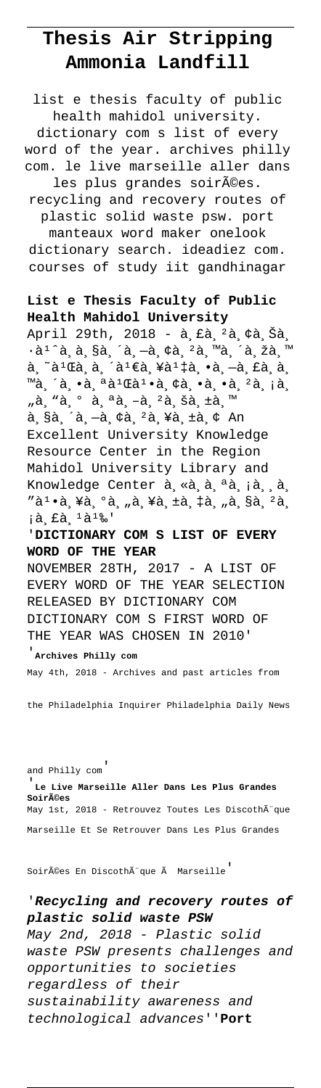## **Thesis Air Stripping Ammonia Landfill**

dictionary com s list of every word of the year. archives philly com. le live marseille aller dans les plus grandes soirées.

list e thesis faculty of public health mahidol university.

recycling and recovery routes of plastic solid waste psw. port

manteaux word maker onelook dictionary search. ideadiez com. courses of study iit gandhinagar

## **List e Thesis Faculty of Public Health Mahidol University**

April 29th, 2018 - à £à 2à ¢à Šà.  $\cdot$ à<sup>1</sup>^à,à,§à,´à,-à,¢à,²à,™à,´à,žà,™  $a, a<sup>1</sup>$ a, a, ´a<sup>1</sup> €a, ¥a<sup>1</sup> ‡a, •a, –a, £a, a, ™à,´à,•à,ªà<sup>1</sup>Œà<sup>1</sup>•à,¢à,•à,•à,<sup>2</sup>à,¡à, "à, "à, º à, ªà, -à, <sup>2</sup>à, šà, ±à, ™  $a, Sa, a, -a, ca, 2a, xa, ta, c, An$ Excellent University Knowledge Resource Center in the Region Mahidol University Library and Knowledge Center à, «à, à, ªà, ¡à, ,à,  $"\tilde{a}$  $\cdot$ à,¥à,°à,"à,¥à,±à,‡à,"à,§à, $^2$ à, ià, £à, 1à1‰'

## '**DICTIONARY COM S LIST OF EVERY WORD OF THE YEAR**

NOVEMBER 28TH, 2017 - A LIST OF EVERY WORD OF THE YEAR SELECTION RELEASED BY DICTIONARY COM DICTIONARY COM S FIRST WORD OF THE YEAR WAS CHOSEN IN 2010'

## '**Archives Philly com**

May 4th, 2018 - Archives and past articles from

the Philadelphia Inquirer Philadelphia Daily News

and Philly com'

'**Le Live Marseille Aller Dans Les Plus Grandes Soirées** May 1st, 2018 - Retrouvez Toutes Les DiscothÃ"que Marseille Et Se Retrouver Dans Les Plus Grandes

Soirées En DiscothÃ"que à Marseille

'**Recycling and recovery routes of plastic solid waste PSW** May 2nd, 2018 - Plastic solid waste PSW presents challenges and opportunities to societies regardless of their sustainability awareness and technological advances''**Port**